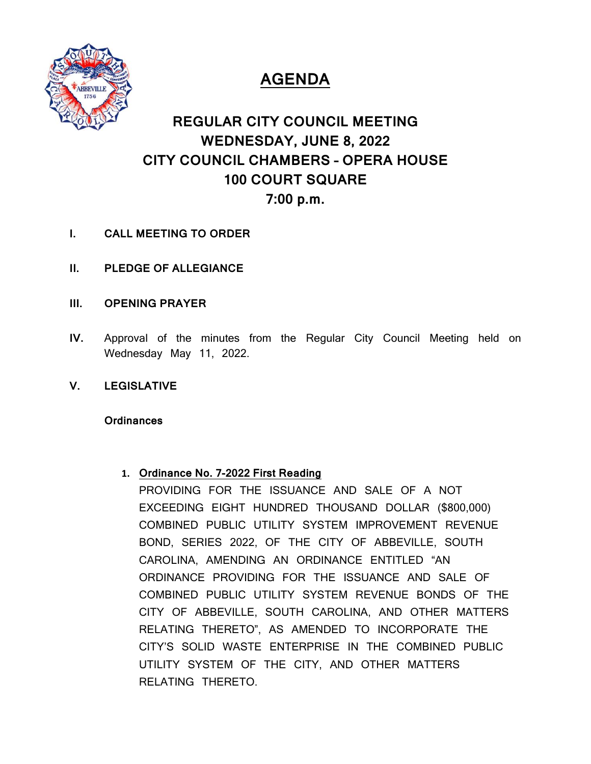

# **AGENDA**

## **REGULAR CITY COUNCIL MEETING WEDNESDAY, JUNE 8, 2022 CITY COUNCIL CHAMBERS – OPERA HOUSE 100 COURT SQUARE 7:00 p.m.**

- **I. CALL MEETING TO ORDER**
- **II. PLEDGE OF ALLEGIANCE**
- **III. OPENING PRAYER**
- **IV.** Approval of the minutes from the Regular City Council Meeting held on Wednesday May 11, 2022.
- **V. LEGISLATIVE**

#### **Ordinances**

#### **1. Ordinance No. 7-2022 First Reading**

PROVIDING FOR THE ISSUANCE AND SALE OF A NOT EXCEEDING EIGHT HUNDRED THOUSAND DOLLAR (\$800,000) COMBINED PUBLIC UTILITY SYSTEM IMPROVEMENT REVENUE BOND, SERIES 2022, OF THE CITY OF ABBEVILLE, SOUTH CAROLINA, AMENDING AN ORDINANCE ENTITLED "AN ORDINANCE PROVIDING FOR THE ISSUANCE AND SALE OF COMBINED PUBLIC UTILITY SYSTEM REVENUE BONDS OF THE CITY OF ABBEVILLE, SOUTH CAROLINA, AND OTHER MATTERS RELATING THERETO", AS AMENDED TO INCORPORATE THE CITY'S SOLID WASTE ENTERPRISE IN THE COMBINED PUBLIC UTILITY SYSTEM OF THE CITY, AND OTHER MATTERS RELATING THERETO.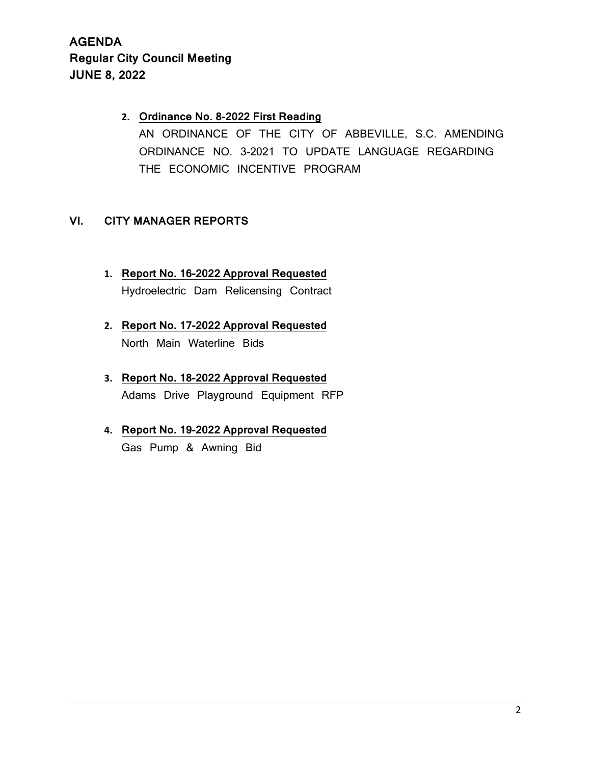## **2. Ordinance No. 8-2022 First Reading** AN ORDINANCE OF THE CITY OF ABBEVILLE, S.C. AMENDING ORDINANCE NO. 3-2021 TO UPDATE LANGUAGE REGARDING THE ECONOMIC INCENTIVE PROGRAM

#### **VI. CITY MANAGER REPORTS**

- **1. Report No. 16-2022 Approval Requested** Hydroelectric Dam Relicensing Contract
- **2. Report No. 17-2022 Approval Requested** North Main Waterline Bids
- **3. Report No. 18-2022 Approval Requested** Adams Drive Playground Equipment RFP
- **4. Report No. 19-2022 Approval Requested** Gas Pump & Awning Bid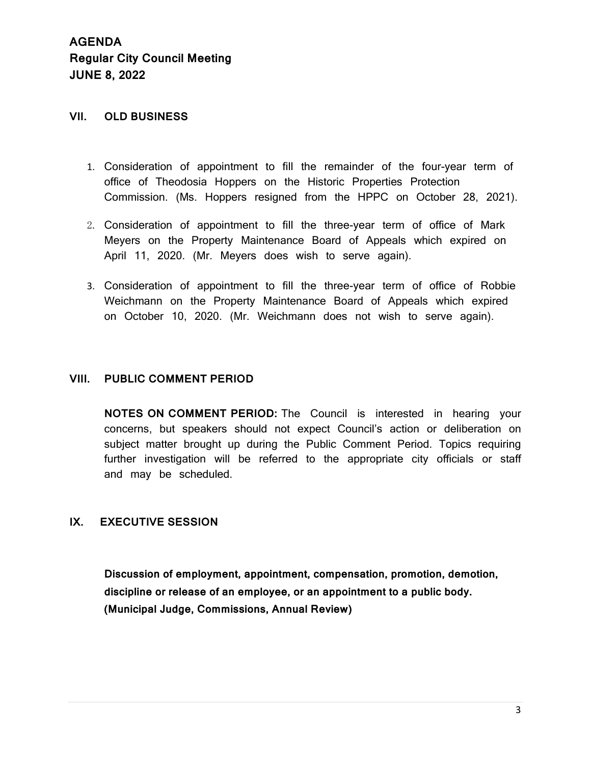#### **VII. OLD BUSINESS**

- 1. Consideration of appointment to fill the remainder of the four-year term of office of Theodosia Hoppers on the Historic Properties Protection Commission. (Ms. Hoppers resigned from the HPPC on October 28, 2021).
- 2. Consideration of appointment to fill the three-year term of office of Mark Meyers on the Property Maintenance Board of Appeals which expired on April 11, 2020. (Mr. Meyers does wish to serve again).
- 3. Consideration of appointment to fill the three-year term of office of Robbie Weichmann on the Property Maintenance Board of Appeals which expired on October 10, 2020. (Mr. Weichmann does not wish to serve again).

#### **VIII. PUBLIC COMMENT PERIOD**

**NOTES ON COMMENT PERIOD:** The Council is interested in hearing your concerns, but speakers should not expect Council's action or deliberation on subject matter brought up during the Public Comment Period. Topics requiring further investigation will be referred to the appropriate city officials or staff and may be scheduled.

#### **IX. EXECUTIVE SESSION**

**Discussion of employment, appointment, compensation, promotion, demotion, discipline or release of an employee, or an appointment to a public body. (Municipal Judge, Commissions, Annual Review)**